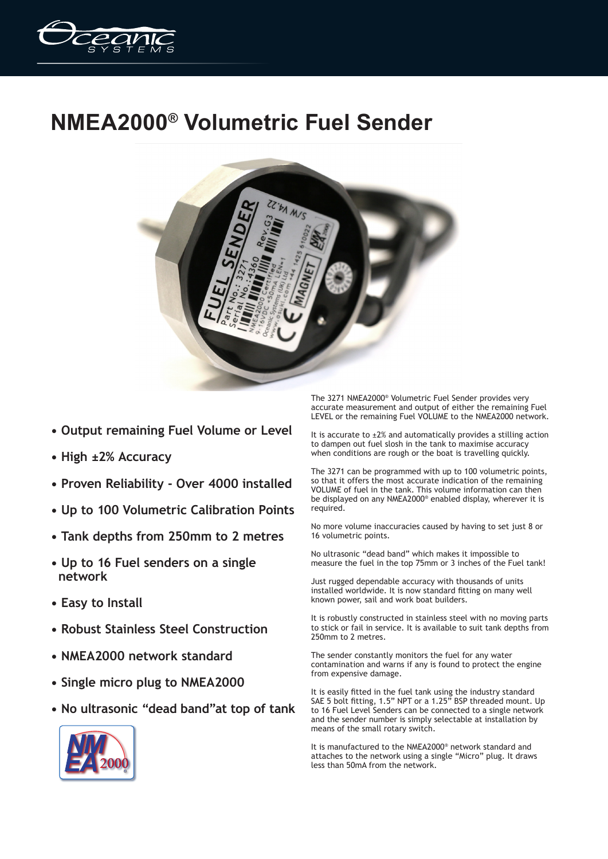

## **NMEA2000® Volumetric Fuel Sender**



- **Output remaining Fuel Volume or Level**
- **High ±2% Accuracy**
- **Proven Reliability Over 4000 installed**
- **Up to 100 Volumetric Calibration Points**
- **Tank depths from 250mm to 2 metres**
- **Up to 16 Fuel senders on a single network**
- **Easy to Install**
- **Robust Stainless Steel Construction**
- **NMEA2000 network standard**
- **Single micro plug to NMEA2000**
- **No ultrasonic "dead band"at top of tank**

The 3271 NMEA2000® Volumetric Fuel Sender provides very accurate measurement and output of either the remaining Fuel LEVEL or the remaining Fuel VOLUME to the NMEA2000 network.

It is accurate to  $\pm 2\%$  and automatically provides a stilling action to dampen out fuel slosh in the tank to maximise accuracy when conditions are rough or the boat is travelling quickly.

The 3271 can be programmed with up to 100 volumetric points, so that it offers the most accurate indication of the remaining VOLUME of fuel in the tank. This volume information can then be displayed on any NMEA2000® enabled display, wherever it is required.

No more volume inaccuracies caused by having to set just 8 or 16 volumetric points.

No ultrasonic "dead band" which makes it impossible to measure the fuel in the top 75mm or 3 inches of the Fuel tank!

Just rugged dependable accuracy with thousands of units installed worldwide. It is now standard fitting on many well known power, sail and work boat builders.

It is robustly constructed in stainless steel with no moving parts to stick or fail in service. It is available to suit tank depths from 250mm to 2 metres.

The sender constantly monitors the fuel for any water contamination and warns if any is found to protect the engine from expensive damage.

It is easily fitted in the fuel tank using the industry standard SAE 5 bolt fitting, 1.5" NPT or a 1.25" BSP threaded mount. Up to 16 Fuel Level Senders can be connected to a single network and the sender number is simply selectable at installation by means of the small rotary switch.

It is manufactured to the NMEA2000® network standard and attaches to the network using a single "Micro" plug. It draws less than 50mA from the network.